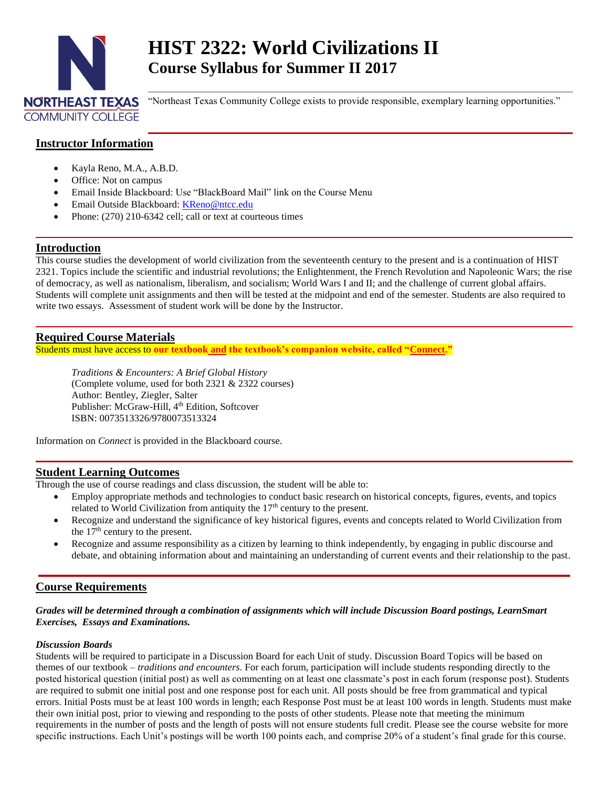

# **HIST 2322: World Civilizations II Course Syllabus for Summer II 2017**

"Northeast Texas Community College exists to provide responsible, exemplary learning opportunities."

# **Instructor Information**

- Kayla Reno, M.A., A.B.D.
- Office: Not on campus
- Email Inside Blackboard: Use "BlackBoard Mail" link on the Course Menu
- Email Outside Blackboard: [KReno@ntcc.edu](mailto:KReno@ntcc.edu)
- Phone: (270) 210-6342 cell; call or text at courteous times

# **Introduction**

This course studies the development of world civilization from the seventeenth century to the present and is a continuation of HIST 2321. Topics include the scientific and industrial revolutions; the Enlightenment, the French Revolution and Napoleonic Wars; the rise of democracy, as well as nationalism, liberalism, and socialism; World Wars I and II; and the challenge of current global affairs. Students will complete unit assignments and then will be tested at the midpoint and end of the semester. Students are also required to write two essays. Assessment of student work will be done by the Instructor.

# **Required Course Materials**

Students must have access to **our textbook and the textbook's companion website, called "Connect."**

*Traditions & Encounters: A Brief Global History*  (Complete volume, used for both 2321 & 2322 courses) Author: Bentley, Ziegler, Salter Publisher: McGraw-Hill, 4<sup>th</sup> Edition, Softcover ISBN: 0073513326/9780073513324

Information on *Connect* is provided in the Blackboard course.

# **Student Learning Outcomes**

Through the use of course readings and class discussion, the student will be able to:

- Employ appropriate methods and technologies to conduct basic research on historical concepts, figures, events, and topics related to World Civilization from antiquity the  $17<sup>th</sup>$  century to the present.
- Recognize and understand the significance of key historical figures, events and concepts related to World Civilization from the  $17<sup>th</sup>$  century to the present.
- Recognize and assume responsibility as a citizen by learning to think independently, by engaging in public discourse and debate, and obtaining information about and maintaining an understanding of current events and their relationship to the past.

# **Course Requirements**

#### *Grades will be determined through a combination of assignments which will include Discussion Board postings, LearnSmart Exercises, Essays and Examinations.*

### *Discussion Boards*

Students will be required to participate in a Discussion Board for each Unit of study. Discussion Board Topics will be based on themes of our textbook – *traditions and encounters*. For each forum, participation will include students responding directly to the posted historical question (initial post) as well as commenting on at least one classmate's post in each forum (response post). Students are required to submit one initial post and one response post for each unit. All posts should be free from grammatical and typical errors. Initial Posts must be at least 100 words in length; each Response Post must be at least 100 words in length. Students must make their own initial post, prior to viewing and responding to the posts of other students. Please note that meeting the minimum requirements in the number of posts and the length of posts will not ensure students full credit. Please see the course website for more specific instructions. Each Unit's postings will be worth 100 points each, and comprise 20% of a student's final grade for this course.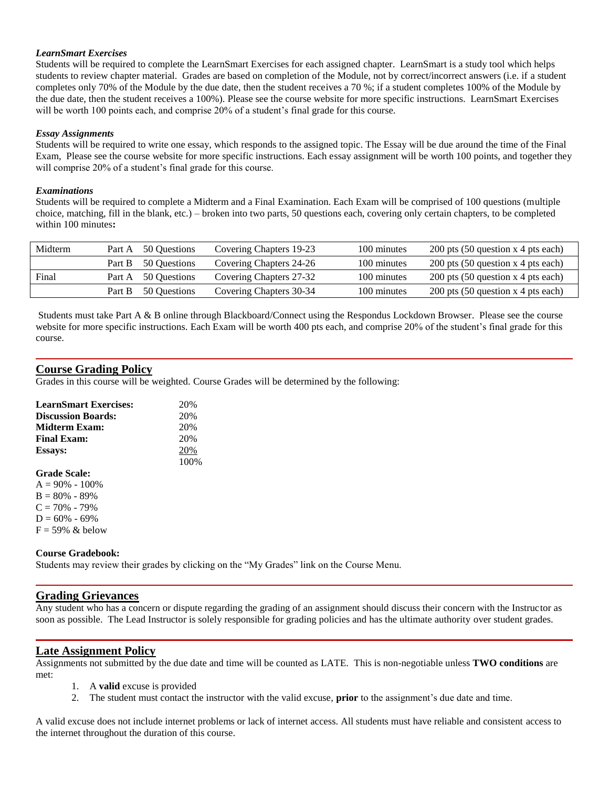#### *LearnSmart Exercises*

Students will be required to complete the LearnSmart Exercises for each assigned chapter. LearnSmart is a study tool which helps students to review chapter material. Grades are based on completion of the Module, not by correct/incorrect answers (i.e. if a student completes only 70% of the Module by the due date, then the student receives a 70 %; if a student completes 100% of the Module by the due date, then the student receives a 100%). Please see the course website for more specific instructions. LearnSmart Exercises will be worth 100 points each, and comprise 20% of a student's final grade for this course.

#### *Essay Assignments*

Students will be required to write one essay, which responds to the assigned topic. The Essay will be due around the time of the Final Exam, Please see the course website for more specific instructions. Each essay assignment will be worth 100 points, and together they will comprise 20% of a student's final grade for this course.

#### *Examinations*

Students will be required to complete a Midterm and a Final Examination. Each Exam will be comprised of 100 questions (multiple choice, matching, fill in the blank, etc.) – broken into two parts, 50 questions each, covering only certain chapters, to be completed within 100 minutes**:**

| Midterm |        | Part A 50 Questions | Covering Chapters 19-23 | 100 minutes | 200 pts $(50$ question x 4 pts each) |
|---------|--------|---------------------|-------------------------|-------------|--------------------------------------|
|         | Part B | 50 Ouestions        | Covering Chapters 24-26 | 100 minutes | 200 pts $(50$ question x 4 pts each) |
| Final   |        | Part A 50 Questions | Covering Chapters 27-32 | 100 minutes | 200 pts $(50$ question x 4 pts each) |
|         | Part B | 50 Ouestions        | Covering Chapters 30-34 | 100 minutes | 200 pts $(50$ question x 4 pts each) |

Students must take Part A & B online through Blackboard/Connect using the Respondus Lockdown Browser. Please see the course website for more specific instructions. Each Exam will be worth 400 pts each, and comprise 20% of the student's final grade for this course.

# **Course Grading Policy**

Grades in this course will be weighted. Course Grades will be determined by the following:

| <b>LearnSmart Exercises:</b>                | 20%  |
|---------------------------------------------|------|
| <b>Discussion Boards:</b>                   | 20%  |
| Midterm Exam:                               | 20%  |
| <b>Final Exam:</b>                          | 20%  |
| <b>Essays:</b>                              | 20%  |
|                                             | 100% |
| <b>Grade Scale:</b>                         |      |
| $A = 90\% - 100\%$                          |      |
| $B = 80\% - 89\%$                           |      |
| $C = 70\% - 79\%$                           |      |
| $D = 60\% - 69\%$                           |      |
| $F = 59\%$ & below                          |      |
| <b>Course Gradebook:</b>                    |      |
| Students may review their grades by clienti |      |

Students may review their grades by clicking on the "My Grades" link on the Course Menu.

# **Grading Grievances**

Any student who has a concern or dispute regarding the grading of an assignment should discuss their concern with the Instructor as soon as possible. The Lead Instructor is solely responsible for grading policies and has the ultimate authority over student grades.

# **Late Assignment Policy**

Assignments not submitted by the due date and time will be counted as LATE. This is non-negotiable unless **TWO conditions** are met:

- 1. A **valid** excuse is provided
- 2. The student must contact the instructor with the valid excuse, **prior** to the assignment's due date and time.

A valid excuse does not include internet problems or lack of internet access. All students must have reliable and consistent access to the internet throughout the duration of this course.